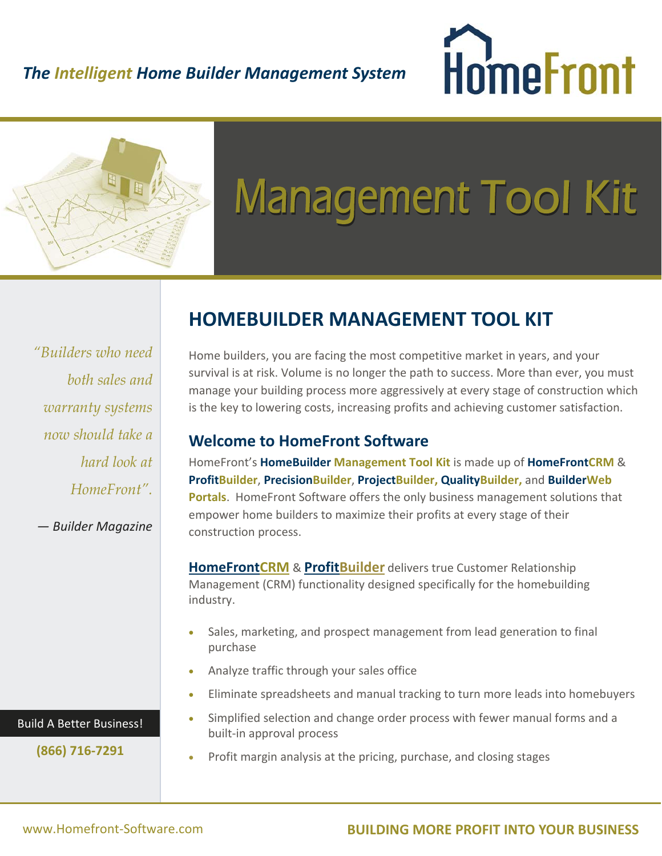### *The Intelligent Home Builder Management System*





# **Management Tool Kit**

*"Builders who need both sales and warranty systems now should take a hard look at HomeFront".*

*— Builder Magazine*

## **HOMEBUILDER MANAGEMENT TOOL KIT**

Home builders, you are facing the most competitive market in years, and your survival is at risk. Volume is no longer the path to success. More than ever, you must manage your building process more aggressively at every stage of construction which is the key to lowering costs, increasing profits and achieving customer satisfaction.

#### **Welcome to HomeFront Software**

HomeFront's **HomeBuilder Management Tool Kit** is made up of **HomeFrontCRM** & **ProfitBuilder**, **PrecisionBuilder**, **ProjectBuilder, QualityBuilder,** and **BuilderWeb Portals**. HomeFront Software offers the only business management solutions that empower home builders to maximize their profits at every stage of their construction process.

**HomeFrontCRM** & **ProfitBuilder** delivers true Customer Relationship Management (CRM) functionality designed specifically for the homebuilding industry.

- Sales, marketing, and prospect management from lead generation to final purchase
- Analyze traffic through your sales office
- Eliminate spreadsheets and manual tracking to turn more leads into homebuyers
- Simplified selection and change order process with fewer manual forms and a built‐in approval process
- Profit margin analysis at the pricing, purchase, and closing stages

Build A Better Business!

**(866) 716‐7291**